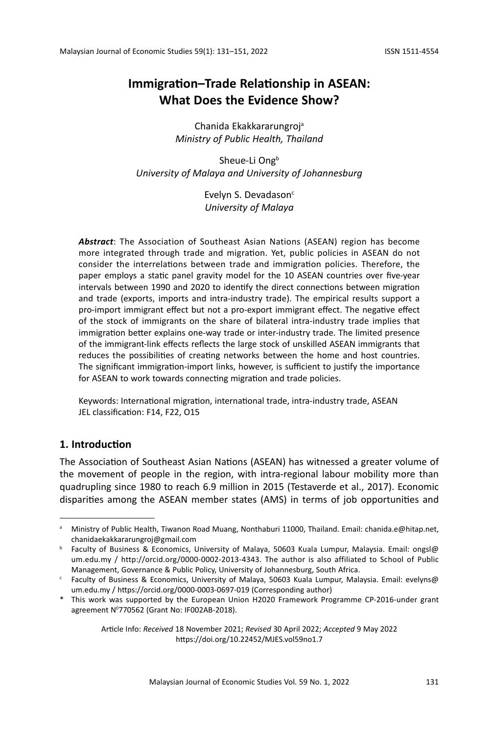# **Immigration–Trade Relationship in ASEAN: What Does the Evidence Show?**

Chanida Ekakkararungroja *Ministry of Public Health, Thailand*

Sheue-Li Ong<sup>b</sup> *University of Malaya and University of Johannesburg*

> Evelyn S. Devadason<sup>c</sup> *University of Malaya*

*Abstract*: The Association of Southeast Asian Nations (ASEAN) region has become more integrated through trade and migration. Yet, public policies in ASEAN do not consider the interrelations between trade and immigration policies. Therefore, the paper employs a static panel gravity model for the 10 ASEAN countries over five-year intervals between 1990 and 2020 to identify the direct connections between migration and trade (exports, imports and intra-industry trade). The empirical results support a pro-import immigrant effect but not a pro-export immigrant effect. The negative effect of the stock of immigrants on the share of bilateral intra-industry trade implies that immigration better explains one-way trade or inter-industry trade. The limited presence of the immigrant-link effects reflects the large stock of unskilled ASEAN immigrants that reduces the possibilities of creating networks between the home and host countries. The significant immigration-import links, however, is sufficient to justify the importance for ASEAN to work towards connecting migration and trade policies.

Keywords: International migration, international trade, intra-industry trade, ASEAN JEL classification: F14, F22, O15

# **1. Introduction**

The Association of Southeast Asian Nations (ASEAN) has witnessed a greater volume of the movement of people in the region, with intra-regional labour mobility more than quadrupling since 1980 to reach 6.9 million in 2015 (Testaverde et al., 2017). Economic disparities among the ASEAN member states (AMS) in terms of job opportunities and

Article Info: *Received* 18 November 2021; *Revised* 30 April 2022; *Accepted* 9 May 2022 https://doi.org/10.22452/MJES.vol59no1.7

a Ministry of Public Health, Tiwanon Road Muang, Nonthaburi 11000, Thailand. Email: chanida.e@hitap.net, chanidaekakkararungroj@gmail.com

<sup>b</sup> Faculty of Business & Economics, University of Malaya, 50603 Kuala Lumpur, Malaysia. Email: ongsl@ um.edu.my / http://orcid.org/0000-0002-2013-4343. The author is also affiliated to School of Public Management, Governance & Public Policy, University of Johannesburg, South Africa.

<sup>c</sup> Faculty of Business & Economics, University of Malaya, 50603 Kuala Lumpur, Malaysia. Email: evelyns@ um.edu.my / https://orcid.org/0000-0003-0697-019 (Corresponding author)

<sup>\*</sup> This work was supported by the European Union H2020 Framework Programme CP-2016-under grant agreement N0 770562 (Grant No: IF002AB-2018).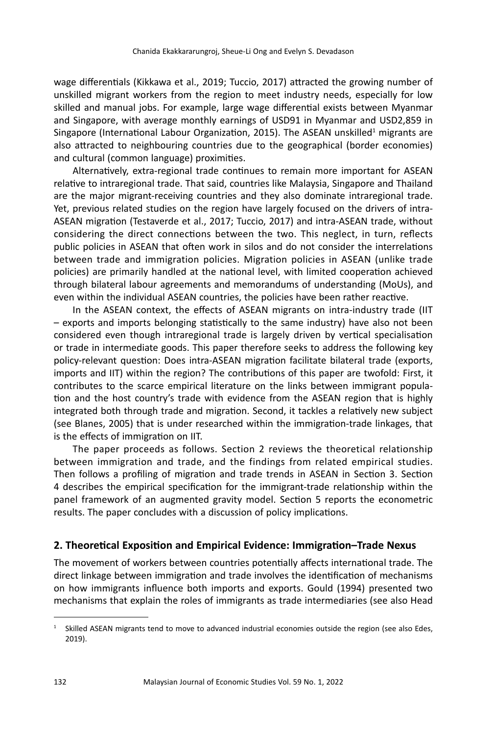wage differentials (Kikkawa et al., 2019; Tuccio, 2017) attracted the growing number of unskilled migrant workers from the region to meet industry needs, especially for low skilled and manual jobs. For example, large wage differential exists between Myanmar and Singapore, with average monthly earnings of USD91 in Myanmar and USD2,859 in Singapore (International Labour Organization, 2015). The ASEAN unskilled<sup>1</sup> migrants are also attracted to neighbouring countries due to the geographical (border economies) and cultural (common language) proximities.

Alternatively, extra-regional trade continues to remain more important for ASEAN relative to intraregional trade. That said, countries like Malaysia, Singapore and Thailand are the major migrant-receiving countries and they also dominate intraregional trade. Yet, previous related studies on the region have largely focused on the drivers of intra-ASEAN migration (Testaverde et al., 2017; Tuccio, 2017) and intra-ASEAN trade, without considering the direct connections between the two. This neglect, in turn, reflects public policies in ASEAN that often work in silos and do not consider the interrelations between trade and immigration policies. Migration policies in ASEAN (unlike trade policies) are primarily handled at the national level, with limited cooperation achieved through bilateral labour agreements and memorandums of understanding (MoUs), and even within the individual ASEAN countries, the policies have been rather reactive.

In the ASEAN context, the effects of ASEAN migrants on intra-industry trade (IIT – exports and imports belonging statistically to the same industry) have also not been considered even though intraregional trade is largely driven by vertical specialisation or trade in intermediate goods. This paper therefore seeks to address the following key policy-relevant question: Does intra-ASEAN migration facilitate bilateral trade (exports, imports and IIT) within the region? The contributions of this paper are twofold: First, it contributes to the scarce empirical literature on the links between immigrant population and the host country's trade with evidence from the ASEAN region that is highly integrated both through trade and migration. Second, it tackles a relatively new subject (see Blanes, 2005) that is under researched within the immigration-trade linkages, that is the effects of immigration on IIT.

The paper proceeds as follows. Section 2 reviews the theoretical relationship between immigration and trade, and the findings from related empirical studies. Then follows a profiling of migration and trade trends in ASEAN in Section 3. Section 4 describes the empirical specification for the immigrant-trade relationship within the panel framework of an augmented gravity model. Section 5 reports the econometric results. The paper concludes with a discussion of policy implications.

# **2. Theoretical Exposition and Empirical Evidence: Immigration–Trade Nexus**

The movement of workers between countries potentially affects international trade. The direct linkage between immigration and trade involves the identification of mechanisms on how immigrants influence both imports and exports. Gould (1994) presented two mechanisms that explain the roles of immigrants as trade intermediaries (see also Head

 $1$  Skilled ASEAN migrants tend to move to advanced industrial economies outside the region (see also Edes, 2019).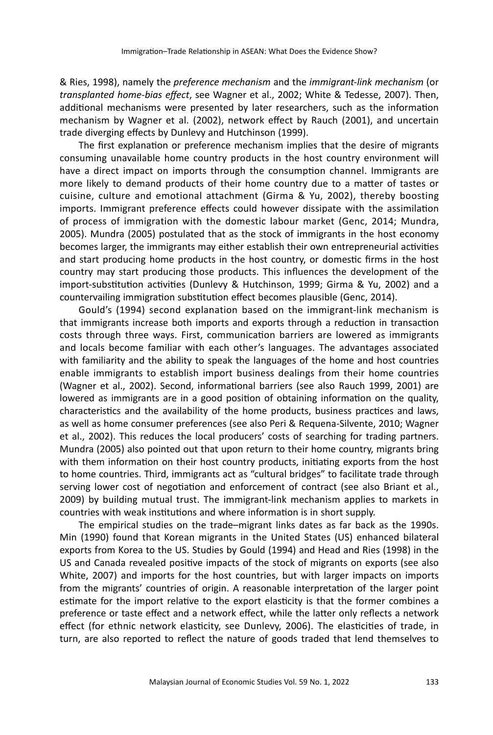& Ries, 1998), namely the *preference mechanism* and the *immigrant-link mechanism* (or *transplanted home-bias effect*, see Wagner et al., 2002; White & Tedesse, 2007). Then, additional mechanisms were presented by later researchers, such as the information mechanism by Wagner et al. (2002), network effect by Rauch (2001), and uncertain trade diverging effects by Dunlevy and Hutchinson (1999).

The first explanation or preference mechanism implies that the desire of migrants consuming unavailable home country products in the host country environment will have a direct impact on imports through the consumption channel. Immigrants are more likely to demand products of their home country due to a matter of tastes or cuisine, culture and emotional attachment (Girma & Yu, 2002), thereby boosting imports. Immigrant preference effects could however dissipate with the assimilation of process of immigration with the domestic labour market (Genc, 2014; Mundra, 2005). Mundra (2005) postulated that as the stock of immigrants in the host economy becomes larger, the immigrants may either establish their own entrepreneurial activities and start producing home products in the host country, or domestic firms in the host country may start producing those products. This influences the development of the import-substitution activities (Dunlevy & Hutchinson, 1999; Girma & Yu, 2002) and a countervailing immigration substitution effect becomes plausible (Genc, 2014).

Gould's (1994) second explanation based on the immigrant-link mechanism is that immigrants increase both imports and exports through a reduction in transaction costs through three ways. First, communication barriers are lowered as immigrants and locals become familiar with each other's languages. The advantages associated with familiarity and the ability to speak the languages of the home and host countries enable immigrants to establish import business dealings from their home countries (Wagner et al., 2002). Second, informational barriers (see also Rauch 1999, 2001) are lowered as immigrants are in a good position of obtaining information on the quality, characteristics and the availability of the home products, business practices and laws, as well as home consumer preferences (see also Peri & Requena-Silvente, 2010; Wagner et al., 2002). This reduces the local producers' costs of searching for trading partners. Mundra (2005) also pointed out that upon return to their home country, migrants bring with them information on their host country products, initiating exports from the host to home countries. Third, immigrants act as "cultural bridges" to facilitate trade through serving lower cost of negotiation and enforcement of contract (see also Briant et al., 2009) by building mutual trust. The immigrant-link mechanism applies to markets in countries with weak institutions and where information is in short supply.

The empirical studies on the trade–migrant links dates as far back as the 1990s. Min (1990) found that Korean migrants in the United States (US) enhanced bilateral exports from Korea to the US. Studies by Gould (1994) and Head and Ries (1998) in the US and Canada revealed positive impacts of the stock of migrants on exports (see also White, 2007) and imports for the host countries, but with larger impacts on imports from the migrants' countries of origin. A reasonable interpretation of the larger point estimate for the import relative to the export elasticity is that the former combines a preference or taste effect and a network effect, while the latter only reflects a network effect (for ethnic network elasticity, see Dunlevy, 2006). The elasticities of trade, in turn, are also reported to reflect the nature of goods traded that lend themselves to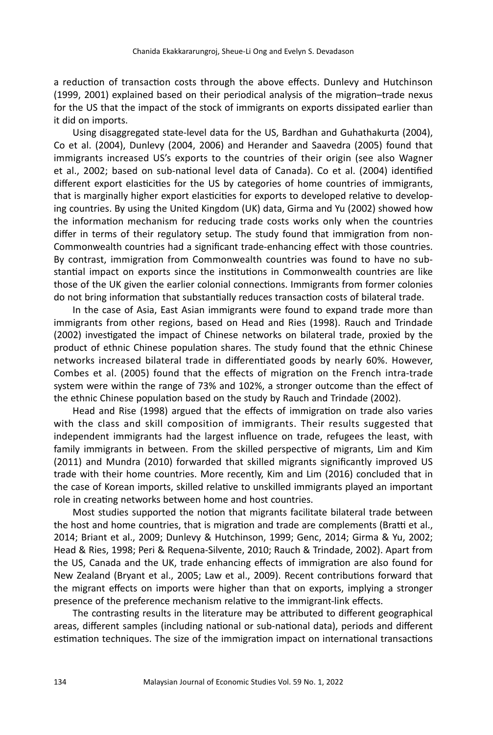a reduction of transaction costs through the above effects. Dunlevy and Hutchinson (1999, 2001) explained based on their periodical analysis of the migration–trade nexus for the US that the impact of the stock of immigrants on exports dissipated earlier than it did on imports.

Using disaggregated state-level data for the US, Bardhan and Guhathakurta (2004), Co et al. (2004), Dunlevy (2004, 2006) and Herander and Saavedra (2005) found that immigrants increased US's exports to the countries of their origin (see also Wagner et al., 2002; based on sub-national level data of Canada). Co et al. (2004) identified different export elasticities for the US by categories of home countries of immigrants, that is marginally higher export elasticities for exports to developed relative to developing countries. By using the United Kingdom (UK) data, Girma and Yu (2002) showed how the information mechanism for reducing trade costs works only when the countries differ in terms of their regulatory setup. The study found that immigration from non-Commonwealth countries had a significant trade-enhancing effect with those countries. By contrast, immigration from Commonwealth countries was found to have no substantial impact on exports since the institutions in Commonwealth countries are like those of the UK given the earlier colonial connections. Immigrants from former colonies do not bring information that substantially reduces transaction costs of bilateral trade.

In the case of Asia, East Asian immigrants were found to expand trade more than immigrants from other regions, based on Head and Ries (1998). Rauch and Trindade (2002) investigated the impact of Chinese networks on bilateral trade, proxied by the product of ethnic Chinese population shares. The study found that the ethnic Chinese networks increased bilateral trade in differentiated goods by nearly 60%. However, Combes et al. (2005) found that the effects of migration on the French intra-trade system were within the range of 73% and 102%, a stronger outcome than the effect of the ethnic Chinese population based on the study by Rauch and Trindade (2002).

Head and Rise (1998) argued that the effects of immigration on trade also varies with the class and skill composition of immigrants. Their results suggested that independent immigrants had the largest influence on trade, refugees the least, with family immigrants in between. From the skilled perspective of migrants, Lim and Kim (2011) and Mundra (2010) forwarded that skilled migrants significantly improved US trade with their home countries. More recently, Kim and Lim (2016) concluded that in the case of Korean imports, skilled relative to unskilled immigrants played an important role in creating networks between home and host countries.

Most studies supported the notion that migrants facilitate bilateral trade between the host and home countries, that is migration and trade are complements (Bratti et al., 2014; Briant et al., 2009; Dunlevy & Hutchinson, 1999; Genc, 2014; Girma & Yu, 2002; Head & Ries, 1998; Peri & Requena-Silvente, 2010; Rauch & Trindade, 2002). Apart from the US, Canada and the UK, trade enhancing effects of immigration are also found for New Zealand (Bryant et al., 2005; Law et al., 2009). Recent contributions forward that the migrant effects on imports were higher than that on exports, implying a stronger presence of the preference mechanism relative to the immigrant-link effects.

The contrasting results in the literature may be attributed to different geographical areas, different samples (including national or sub-national data), periods and different estimation techniques. The size of the immigration impact on international transactions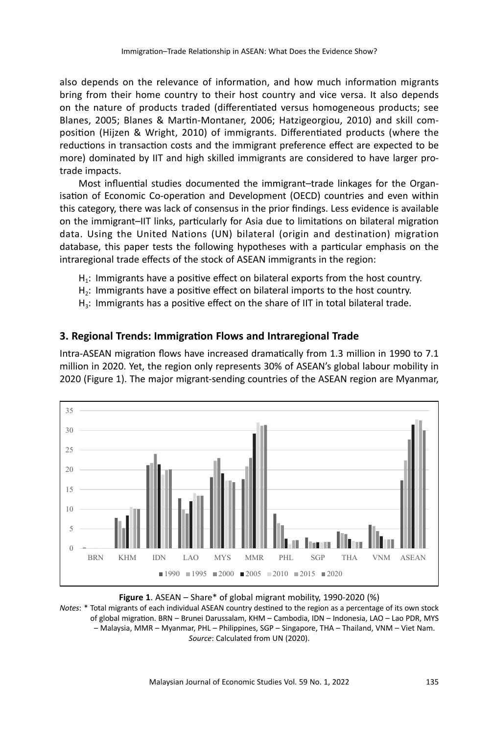also depends on the relevance of information, and how much information migrants bring from their home country to their host country and vice versa. It also depends on the nature of products traded (differentiated versus homogeneous products; see Blanes, 2005; Blanes & Martin-Montaner, 2006; Hatzigeorgiou, 2010) and skill composition (Hijzen & Wright, 2010) of immigrants. Differentiated products (where the reductions in transaction costs and the immigrant preference effect are expected to be more) dominated by IIT and high skilled immigrants are considered to have larger protrade impacts.

Most influential studies documented the immigrant–trade linkages for the Organisation of Economic Co-operation and Development (OECD) countries and even within this category, there was lack of consensus in the prior findings. Less evidence is available on the immigrant–IIT links, particularly for Asia due to limitations on bilateral migration data. Using the United Nations (UN) bilateral (origin and destination) migration database, this paper tests the following hypotheses with a particular emphasis on the intraregional trade effects of the stock of ASEAN immigrants in the region:

- $H_1$ : Immigrants have a positive effect on bilateral exports from the host country.
- H2: Immigrants have a positive effect on bilateral imports to the host country.
- $H_3$ : Immigrants has a positive effect on the share of IIT in total bilateral trade.

# **3. Regional Trends: Immigration Flows and Intraregional Trade**

Intra-ASEAN migration flows have increased dramatically from 1.3 million in 1990 to 7.1 million in 2020. Yet, the region only represents 30% of ASEAN's global labour mobility in 2020 (Figure 1). The major migrant-sending countries of the ASEAN region are Myanmar,



**Figure 1**. ASEAN – Share\* of global migrant mobility, 1990-2020 (%) *Notes*: \* Total migrants of each individual ASEAN country destined to the region as a percentage of its own stock of global migration. BRN – Brunei Darussalam, KHM – Cambodia, IDN – Indonesia, LAO – Lao PDR, MYS – Malaysia, MMR – Myanmar, PHL – Philippines, SGP – Singapore, THA – Thailand, VNM – Viet Nam. *Source*: Calculated from UN (2020).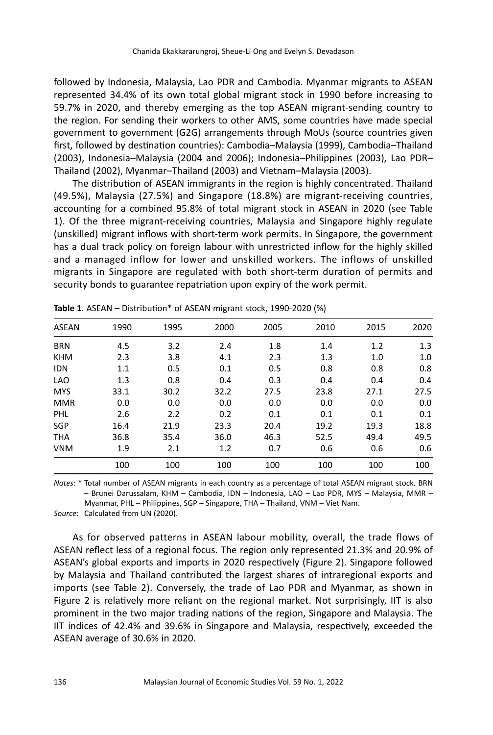followed by Indonesia, Malaysia, Lao PDR and Cambodia. Myanmar migrants to ASEAN represented 34.4% of its own total global migrant stock in 1990 before increasing to 59.7% in 2020, and thereby emerging as the top ASEAN migrant-sending country to the region. For sending their workers to other AMS, some countries have made special government to government (G2G) arrangements through MoUs (source countries given first, followed by destination countries): Cambodia–Malaysia (1999), Cambodia–Thailand (2003), Indonesia–Malaysia (2004 and 2006); Indonesia–Philippines (2003), Lao PDR– Thailand (2002), Myanmar–Thailand (2003) and Vietnam–Malaysia (2003).

The distribution of ASEAN immigrants in the region is highly concentrated. Thailand (49.5%), Malaysia (27.5%) and Singapore (18.8%) are migrant-receiving countries, accounting for a combined 95.8% of total migrant stock in ASEAN in 2020 (see Table 1). Of the three migrant-receiving countries, Malaysia and Singapore highly regulate (unskilled) migrant inflows with short-term work permits. In Singapore, the government has a dual track policy on foreign labour with unrestricted inflow for the highly skilled and a managed inflow for lower and unskilled workers. The inflows of unskilled migrants in Singapore are regulated with both short-term duration of permits and security bonds to guarantee repatriation upon expiry of the work permit.

| <b>ASEAN</b> | 1990 | 1995 | 2000 | 2005 | 2010 | 2015 | 2020 |
|--------------|------|------|------|------|------|------|------|
| <b>BRN</b>   | 4.5  | 3.2  | 2.4  | 1.8  | 1.4  | 1.2  | 1.3  |
| <b>KHM</b>   | 2.3  | 3.8  | 4.1  | 2.3  | 1.3  | 1.0  | 1.0  |
| <b>IDN</b>   | 1.1  | 0.5  | 0.1  | 0.5  | 0.8  | 0.8  | 0.8  |
| <b>LAO</b>   | 1.3  | 0.8  | 0.4  | 0.3  | 0.4  | 0.4  | 0.4  |
| <b>MYS</b>   | 33.1 | 30.2 | 32.2 | 27.5 | 23.8 | 27.1 | 27.5 |
| <b>MMR</b>   | 0.0  | 0.0  | 0.0  | 0.0  | 0.0  | 0.0  | 0.0  |
| <b>PHL</b>   | 2.6  | 2.2  | 0.2  | 0.1  | 0.1  | 0.1  | 0.1  |
| <b>SGP</b>   | 16.4 | 21.9 | 23.3 | 20.4 | 19.2 | 19.3 | 18.8 |
| <b>THA</b>   | 36.8 | 35.4 | 36.0 | 46.3 | 52.5 | 49.4 | 49.5 |
| <b>VNM</b>   | 1.9  | 2.1  | 1.2  | 0.7  | 0.6  | 0.6  | 0.6  |
|              | 100  | 100  | 100  | 100  | 100  | 100  | 100  |

|  | Table 1. ASEAN - Distribution* of ASEAN migrant stock, 1990-2020 (%) |
|--|----------------------------------------------------------------------|
|--|----------------------------------------------------------------------|

*Notes*: \* Total number of ASEAN migrants in each country as a percentage of total ASEAN migrant stock. BRN – Brunei Darussalam, KHM – Cambodia, IDN – Indonesia, LAO – Lao PDR, MYS – Malaysia, MMR – Myanmar, PHL – Philippines, SGP – Singapore, THA – Thailand, VNM – Viet Nam.

*Source*: Calculated from UN (2020).

As for observed patterns in ASEAN labour mobility, overall, the trade flows of ASEAN reflect less of a regional focus. The region only represented 21.3% and 20.9% of ASEAN's global exports and imports in 2020 respectively (Figure 2). Singapore followed by Malaysia and Thailand contributed the largest shares of intraregional exports and imports (see Table 2). Conversely, the trade of Lao PDR and Myanmar, as shown in Figure 2 is relatively more reliant on the regional market. Not surprisingly, IIT is also prominent in the two major trading nations of the region, Singapore and Malaysia. The IIT indices of 42.4% and 39.6% in Singapore and Malaysia, respectively, exceeded the ASEAN average of 30.6% in 2020.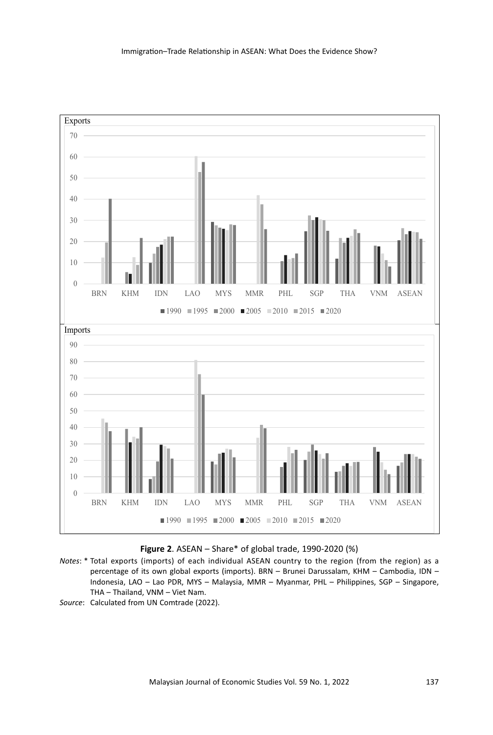

**Figure 2**. ASEAN – Share\* of global trade, 1990-2020 (%)

- *Notes*: \* Total exports (imports) of each individual ASEAN country to the region (from the region) as a percentage of its own global exports (imports). BRN – Brunei Darussalam, KHM – Cambodia, IDN – Indonesia, LAO – Lao PDR, MYS – Malaysia, MMR – Myanmar, PHL – Philippines, SGP – Singapore, THA – Thailand, VNM – Viet Nam.
- *Source*: Calculated from UN Comtrade (2022).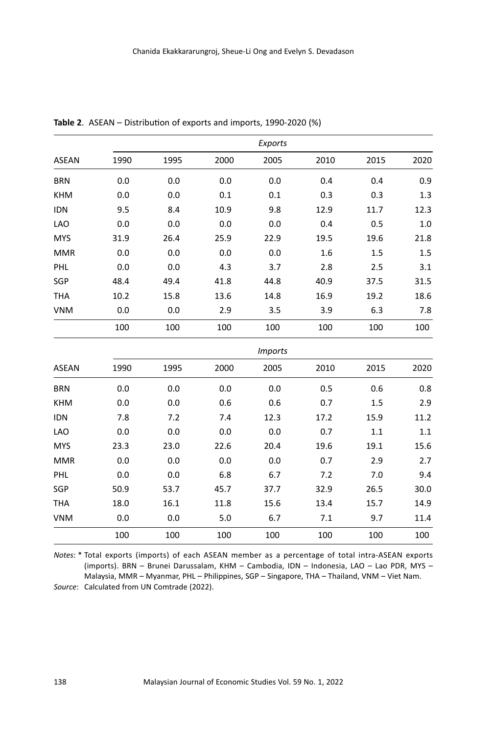|              |      |      |      | Exports        |      |      |      |
|--------------|------|------|------|----------------|------|------|------|
| <b>ASEAN</b> | 1990 | 1995 | 2000 | 2005           | 2010 | 2015 | 2020 |
| <b>BRN</b>   | 0.0  | 0.0  | 0.0  | 0.0            | 0.4  | 0.4  | 0.9  |
| <b>KHM</b>   | 0.0  | 0.0  | 0.1  | 0.1            | 0.3  | 0.3  | 1.3  |
| <b>IDN</b>   | 9.5  | 8.4  | 10.9 | 9.8            | 12.9 | 11.7 | 12.3 |
| <b>LAO</b>   | 0.0  | 0.0  | 0.0  | 0.0            | 0.4  | 0.5  | 1.0  |
| <b>MYS</b>   | 31.9 | 26.4 | 25.9 | 22.9           | 19.5 | 19.6 | 21.8 |
| <b>MMR</b>   | 0.0  | 0.0  | 0.0  | 0.0            | 1.6  | 1.5  | 1.5  |
| PHL          | 0.0  | 0.0  | 4.3  | 3.7            | 2.8  | 2.5  | 3.1  |
| SGP          | 48.4 | 49.4 | 41.8 | 44.8           | 40.9 | 37.5 | 31.5 |
| <b>THA</b>   | 10.2 | 15.8 | 13.6 | 14.8           | 16.9 | 19.2 | 18.6 |
| <b>VNM</b>   | 0.0  | 0.0  | 2.9  | 3.5            | 3.9  | 6.3  | 7.8  |
|              | 100  | 100  | 100  | 100            | 100  | 100  | 100  |
|              |      |      |      | <b>Imports</b> |      |      |      |
| <b>ASEAN</b> | 1990 | 1995 | 2000 | 2005           | 2010 | 2015 | 2020 |
| <b>BRN</b>   | 0.0  | 0.0  | 0.0  | 0.0            | 0.5  | 0.6  | 0.8  |
| <b>KHM</b>   | 0.0  | 0.0  | 0.6  | 0.6            | 0.7  | 1.5  | 2.9  |
| <b>IDN</b>   | 7.8  | 7.2  | 7.4  | 12.3           | 17.2 | 15.9 | 11.2 |
| <b>LAO</b>   | 0.0  | 0.0  | 0.0  | 0.0            | 0.7  | 1.1  | 1.1  |
| <b>MYS</b>   | 23.3 | 23.0 | 22.6 | 20.4           | 19.6 | 19.1 | 15.6 |
| <b>MMR</b>   | 0.0  | 0.0  | 0.0  | 0.0            | 0.7  | 2.9  | 2.7  |
| PHL          | 0.0  | 0.0  | 6.8  | 6.7            | 7.2  | 7.0  | 9.4  |
| SGP          | 50.9 | 53.7 | 45.7 | 37.7           | 32.9 | 26.5 | 30.0 |
| <b>THA</b>   | 18.0 | 16.1 | 11.8 | 15.6           | 13.4 | 15.7 | 14.9 |
| <b>VNM</b>   | 0.0  | 0.0  | 5.0  | 6.7            | 7.1  | 9.7  | 11.4 |
|              | 100  | 100  | 100  | 100            | 100  | 100  | 100  |

**Table 2**. ASEAN – Distribution of exports and imports, 1990-2020 (%)

*Notes*: \* Total exports (imports) of each ASEAN member as a percentage of total intra-ASEAN exports (imports). BRN – Brunei Darussalam, KHM – Cambodia, IDN – Indonesia, LAO – Lao PDR, MYS – Malaysia, MMR – Myanmar, PHL – Philippines, SGP – Singapore, THA – Thailand, VNM – Viet Nam. *Source*: Calculated from UN Comtrade (2022).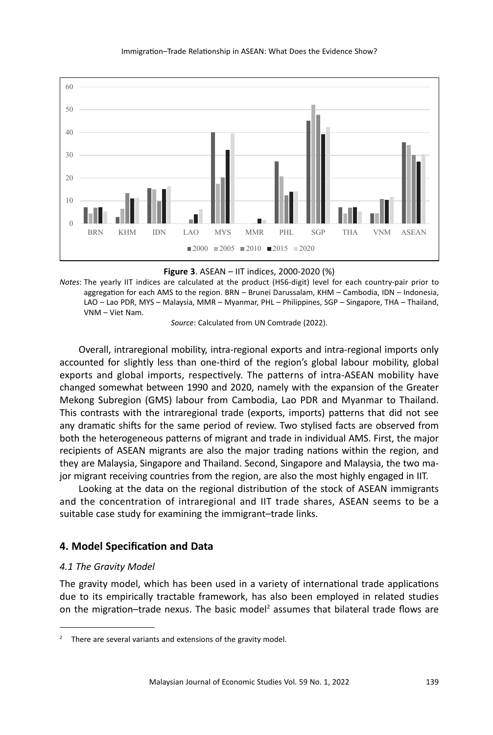

**Figure 3**. ASEAN – IIT indices, 2000-2020 (%)

*Notes*: The yearly IIT indices are calculated at the product (HS6-digit) level for each country-pair prior to aggregation for each AMS to the region. BRN – Brunei Darussalam, KHM – Cambodia, IDN – Indonesia, LAO – Lao PDR, MYS – Malaysia, MMR – Myanmar, PHL – Philippines, SGP – Singapore, THA – Thailand, VNM – Viet Nam.

*Source*: Calculated from UN Comtrade (2022).

Overall, intraregional mobility, intra-regional exports and intra-regional imports only accounted for slightly less than one-third of the region's global labour mobility, global exports and global imports, respectively. The patterns of intra-ASEAN mobility have changed somewhat between 1990 and 2020, namely with the expansion of the Greater Mekong Subregion (GMS) labour from Cambodia, Lao PDR and Myanmar to Thailand. This contrasts with the intraregional trade (exports, imports) patterns that did not see any dramatic shifts for the same period of review. Two stylised facts are observed from both the heterogeneous patterns of migrant and trade in individual AMS. First, the major recipients of ASEAN migrants are also the major trading nations within the region, and they are Malaysia, Singapore and Thailand. Second, Singapore and Malaysia, the two major migrant receiving countries from the region, are also the most highly engaged in IIT.

Looking at the data on the regional distribution of the stock of ASEAN immigrants and the concentration of intraregional and IIT trade shares, ASEAN seems to be a suitable case study for examining the immigrant–trade links.

# **4. Model Specification and Data**

## *4.1 The Gravity Model*

The gravity model, which has been used in a variety of international trade applications due to its empirically tractable framework, has also been employed in related studies on the migration-trade nexus. The basic model<sup>2</sup> assumes that bilateral trade flows are

 $2^2$  There are several variants and extensions of the gravity model.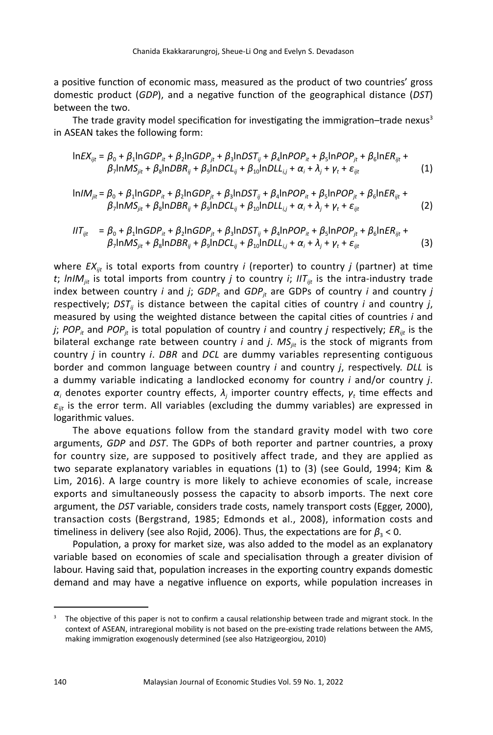a positive function of economic mass, measured as the product of two countries' gross domestic product (*GDP*), and a negative function of the geographical distance (*DST*) between the two.

The trade gravity model specification for investigating the immigration–trade nexus $3$ in ASEAN takes the following form:

$$
ln EX_{ijt} = \beta_0 + \beta_1 ln GDP_{it} + \beta_2 ln GDP_{jt} + \beta_3 lnDST_{ij} + \beta_4 lnPOP_{it} + \beta_5 ln POP_{jt} + \beta_6 lnER_{ijt} + \beta_7 lnMS_{jit} + \beta_8 lnDBR_{ij} + \beta_9 lnDCL_{ij} + \beta_0 lnDLL_{ij} + \alpha_i + \lambda_j + \gamma_t + \varepsilon_{ijt}
$$
 (1)

$$
\ln IM_{jit} = \beta_0 + \beta_1 \ln GDP_{it} + \beta_2 \ln GDP_{jt} + \beta_3 \ln DST_{ij} + \beta_4 \ln POP_{it} + \beta_5 \ln POP_{jt} + \beta_6 \ln ER_{ijt} + \beta_7 \ln MS_{jit} + \beta_8 \ln DBR_{ij} + \beta_9 \ln DCL_{ij} + \beta_0 \ln DLL_{ij} + \alpha_i + \lambda_j + \gamma_t + \varepsilon_{ijt}
$$
 (2)

$$
IIT_{ijt} = \beta_0 + \beta_1 ln GDP_{it} + \beta_2 ln GDP_{jt} + \beta_3 lnDST_{ij} + \beta_4 lnPOP_{it} + \beta_5 ln POP_{jt} + \beta_6 lnER_{ijt} + \beta_7 lnMS_{jit} + \beta_8 lnDBR_{ij} + \beta_9 lnDCL_{ij} + \beta_0 lnDLL_{ij} + \alpha_i + \lambda_j + \gamma_t + \varepsilon_{ijt}
$$
\n(3)

where *EX<sub>iit</sub>* is total exports from country *i* (reporter) to country *j* (partner) at time *t*; *lnIM<sub>jit</sub>* is total imports from country *j* to country *i*; *IIT<sub>ijt</sub>* is the intra-industry trade index between country *i* and *j*;  $GDP<sub>it</sub>$  and  $GDP<sub>it</sub>$  are GDPs of country *i* and country *j* respectively;  $DST_{ij}$  is distance between the capital cities of country *i* and country *j*, measured by using the weighted distance between the capital cities of countries *i* and *j*; *POP<sub>it</sub>* and *POP<sub>it</sub>* is total population of country *i* and country *j* respectively;  $ER_{ijt}$  is the bilateral exchange rate between country  $i$  and  $j$ .  $MS_{ijt}$  is the stock of migrants from country *j* in country *i*. *DBR* and *DCL* are dummy variables representing contiguous border and common language between country *i* and country *j*, respectively. *DLL* is a dummy variable indicating a landlocked economy for country *i* and/or country *j*.  $\alpha_i$  denotes exporter country effects,  $\lambda_j$  importer country effects,  $\gamma_t$  time effects and *εijt* is the error term. All variables (excluding the dummy variables) are expressed in logarithmic values.

The above equations follow from the standard gravity model with two core arguments, *GDP* and *DST*. The GDPs of both reporter and partner countries, a proxy for country size, are supposed to positively affect trade, and they are applied as two separate explanatory variables in equations (1) to (3) (see Gould, 1994; Kim & Lim, 2016). A large country is more likely to achieve economies of scale, increase exports and simultaneously possess the capacity to absorb imports. The next core argument, the *DST* variable, considers trade costs, namely transport costs (Egger, 2000), transaction costs (Bergstrand, 1985; Edmonds et al., 2008), information costs and timeliness in delivery (see also Rojid, 2006). Thus, the expectations are for *β*<sub>3</sub> < 0.

Population, a proxy for market size, was also added to the model as an explanatory variable based on economies of scale and specialisation through a greater division of labour. Having said that, population increases in the exporting country expands domestic demand and may have a negative influence on exports, while population increases in

<sup>&</sup>lt;sup>3</sup> The objective of this paper is not to confirm a causal relationship between trade and migrant stock. In the context of ASEAN, intraregional mobility is not based on the pre-existing trade relations between the AMS, making immigration exogenously determined (see also Hatzigeorgiou, 2010)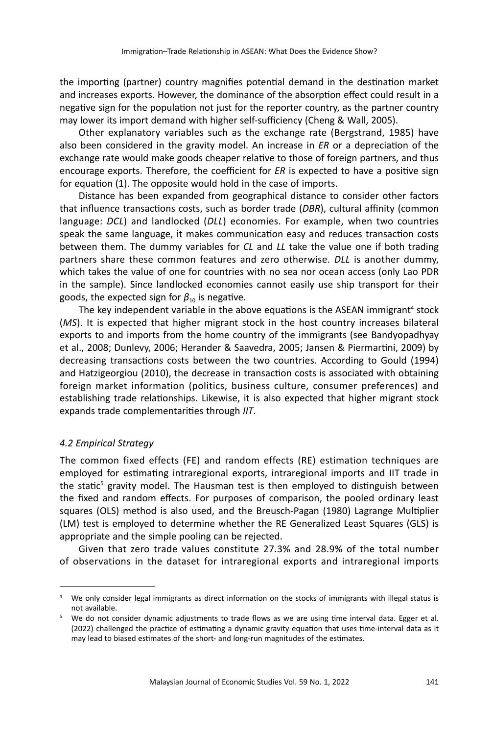the importing (partner) country magnifies potential demand in the destination market and increases exports. However, the dominance of the absorption effect could result in a negative sign for the population not just for the reporter country, as the partner country may lower its import demand with higher self-sufficiency (Cheng & Wall, 2005).

Other explanatory variables such as the exchange rate (Bergstrand, 1985) have also been considered in the gravity model. An increase in *ER* or a depreciation of the exchange rate would make goods cheaper relative to those of foreign partners, and thus encourage exports. Therefore, the coefficient for *ER* is expected to have a positive sign for equation (1). The opposite would hold in the case of imports.

Distance has been expanded from geographical distance to consider other factors that influence transactions costs, such as border trade (*DBR*), cultural affinity (common language: *DCL*) and landlocked (*DLL*) economies. For example, when two countries speak the same language, it makes communication easy and reduces transaction costs between them. The dummy variables for *CL* and *LL* take the value one if both trading partners share these common features and zero otherwise. *DLL* is another dummy, which takes the value of one for countries with no sea nor ocean access (only Lao PDR in the sample). Since landlocked economies cannot easily use ship transport for their goods, the expected sign for  $\beta_{10}$  is negative.

The key independent variable in the above equations is the ASEAN immigrant<sup>4</sup> stock (*MS*). It is expected that higher migrant stock in the host country increases bilateral exports to and imports from the home country of the immigrants (see Bandyopadhyay et al., 2008; Dunlevy, 2006; Herander & Saavedra, 2005; Jansen & Piermartini, 2009) by decreasing transactions costs between the two countries. According to Gould (1994) and Hatzigeorgiou (2010), the decrease in transaction costs is associated with obtaining foreign market information (politics, business culture, consumer preferences) and establishing trade relationships. Likewise, it is also expected that higher migrant stock expands trade complementarities through *IIT*.

# *4.2 Empirical Strategy*

The common fixed effects (FE) and random effects (RE) estimation techniques are employed for estimating intraregional exports, intraregional imports and IIT trade in the static<sup>5</sup> gravity model. The Hausman test is then employed to distinguish between the fixed and random effects. For purposes of comparison, the pooled ordinary least squares (OLS) method is also used, and the Breusch-Pagan (1980) Lagrange Multiplier (LM) test is employed to determine whether the RE Generalized Least Squares (GLS) is appropriate and the simple pooling can be rejected.

Given that zero trade values constitute 27.3% and 28.9% of the total number of observations in the dataset for intraregional exports and intraregional imports

<sup>&</sup>lt;sup>4</sup> We only consider legal immigrants as direct information on the stocks of immigrants with illegal status is not available.

We do not consider dynamic adjustments to trade flows as we are using time interval data. Egger et al. (2022) challenged the practice of estimating a dynamic gravity equation that uses time-interval data as it may lead to biased estimates of the short- and long-run magnitudes of the estimates.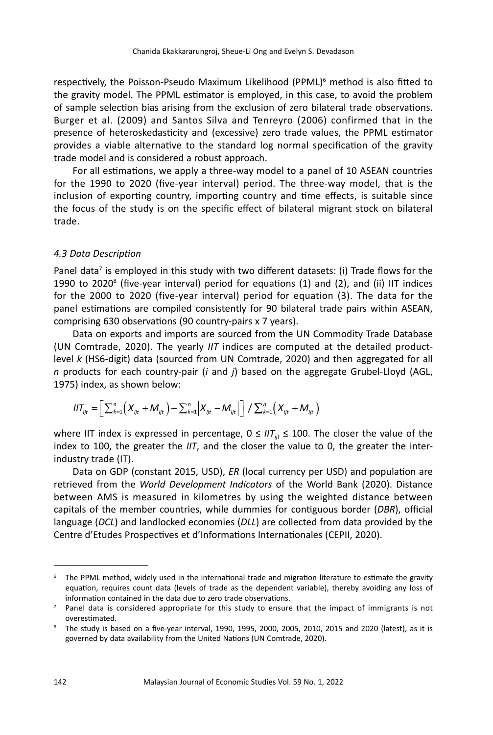respectively, the Poisson-Pseudo Maximum Likelihood (PPML)<sup>6</sup> method is also fitted to the gravity model. The PPML estimator is employed, in this case, to avoid the problem of sample selection bias arising from the exclusion of zero bilateral trade observations. Burger et al. (2009) and Santos Silva and Tenreyro (2006) confirmed that in the presence of heteroskedasticity and (excessive) zero trade values, the PPML estimator provides a viable alternative to the standard log normal specification of the gravity trade model and is considered a robust approach.

For all estimations, we apply a three-way model to a panel of 10 ASEAN countries for the 1990 to 2020 (five-year interval) period. The three-way model, that is the inclusion of exporting country, importing country and time effects, is suitable since the focus of the study is on the specific effect of bilateral migrant stock on bilateral trade.

#### *4.3 Data Description*

Panel data<sup>7</sup> is employed in this study with two different datasets: (i) Trade flows for the 1990 to 2020<sup>8</sup> (five-year interval) period for equations (1) and (2), and (ii) IIT indices for the 2000 to 2020 (five-year interval) period for equation (3). The data for the panel estimations are compiled consistently for 90 bilateral trade pairs within ASEAN, comprising 630 observations (90 country-pairs x 7 years).

Data on exports and imports are sourced from the UN Commodity Trade Database (UN Comtrade, 2020). The yearly *IIT* indices are computed at the detailed productlevel *k* (HS6-digit) data (sourced from UN Comtrade, 2020) and then aggregated for all *n* products for each country-pair (*i* and *j*) based on the aggregate Grubel-Lloyd (AGL, 1975) index, as shown below:

$$
IIT_{ijt} = \left[ \sum_{k=1}^{n} \left( X_{ijt} + M_{ijt} \right) - \sum_{k=1}^{n} \left| X_{ijt} - M_{ijt} \right| \right] / \sum_{k=1}^{n} \left( X_{ijt} + M_{ijt} \right)
$$

where IIT index is expressed in percentage,  $0 \leq I/T_{ii} \leq 100$ . The closer the value of the index to 100, the greater the *IIT*, and the closer the value to 0, the greater the interindustry trade (IT).

Data on GDP (constant 2015, USD), *ER* (local currency per USD) and population are retrieved from the *World Development Indicators* of the World Bank (2020). Distance between AMS is measured in kilometres by using the weighted distance between capitals of the member countries, while dummies for contiguous border (*DBR*), official language (*DCL*) and landlocked economies (*DLL*) are collected from data provided by the Centre d'Etudes Prospectives et d'Informations Internationales (CEPII, 2020).

<sup>&</sup>lt;sup>6</sup> The PPML method, widely used in the international trade and migration literature to estimate the gravity equation, requires count data (levels of trade as the dependent variable), thereby avoiding any loss of information contained in the data due to zero trade observations.

 $7$  Panel data is considered appropriate for this study to ensure that the impact of immigrants is not overestimated.

<sup>&</sup>lt;sup>8</sup> The study is based on a five-year interval, 1990, 1995, 2000, 2005, 2010, 2015 and 2020 (latest), as it is governed by data availability from the United Nations (UN Comtrade, 2020).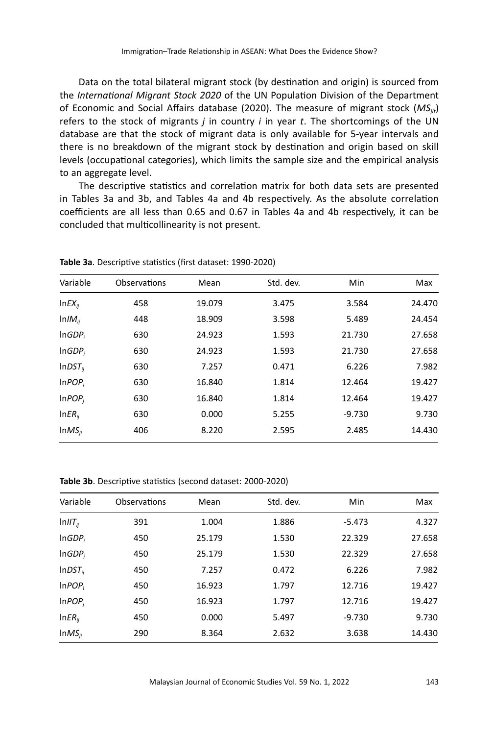Data on the total bilateral migrant stock (by destination and origin) is sourced from the *International Migrant Stock 2020* of the UN Population Division of the Department of Economic and Social Affairs database (2020). The measure of migrant stock (*MSjit*) refers to the stock of migrants *j* in country *i* in year *t*. The shortcomings of the UN database are that the stock of migrant data is only available for 5-year intervals and there is no breakdown of the migrant stock by destination and origin based on skill levels (occupational categories), which limits the sample size and the empirical analysis to an aggregate level.

The descriptive statistics and correlation matrix for both data sets are presented in Tables 3a and 3b, and Tables 4a and 4b respectively. As the absolute correlation coefficients are all less than 0.65 and 0.67 in Tables 4a and 4b respectively, it can be concluded that multicollinearity is not present.

| Variable           | Observations | Mean   | Std. dev. | Min      | Max    |
|--------------------|--------------|--------|-----------|----------|--------|
| $lnEX_{ii}$        | 458          | 19.079 | 3.475     | 3.584    | 24.470 |
| $lnIM_{ii}$        | 448          | 18.909 | 3.598     | 5.489    | 24.454 |
| InGDP <sub>i</sub> | 630          | 24.923 | 1.593     | 21.730   | 27.658 |
| InGDP <sub>i</sub> | 630          | 24.923 | 1.593     | 21.730   | 27.658 |
| $lnDST_{ii}$       | 630          | 7.257  | 0.471     | 6.226    | 7.982  |
| InPOP <sub>i</sub> | 630          | 16.840 | 1.814     | 12.464   | 19.427 |
| InPOP <sub>i</sub> | 630          | 16.840 | 1.814     | 12.464   | 19.427 |
| $InER_{ii}$        | 630          | 0.000  | 5.255     | $-9.730$ | 9.730  |
| $ImMS_{ii}$        | 406          | 8.220  | 2.595     | 2.485    | 14.430 |
|                    |              |        |           |          |        |

**Table 3a**. Descriptive statistics (first dataset: 1990-2020)

**Table 3b**. Descriptive statistics (second dataset: 2000-2020)

| Variable           | Observations | Mean   | Std. dev. | Min      | Max    |
|--------------------|--------------|--------|-----------|----------|--------|
| $InIIT_{ij}$       | 391          | 1.004  | 1.886     | $-5.473$ | 4.327  |
| InGDP <sub>i</sub> | 450          | 25.179 | 1.530     | 22.329   | 27.658 |
| InGDP <sub>i</sub> | 450          | 25.179 | 1.530     | 22.329   | 27.658 |
| $InDST_{ij}$       | 450          | 7.257  | 0.472     | 6.226    | 7.982  |
| InPOP <sub>i</sub> | 450          | 16.923 | 1.797     | 12.716   | 19.427 |
| InPOP <sub>i</sub> | 450          | 16.923 | 1.797     | 12.716   | 19.427 |
| $InER_{ij}$        | 450          | 0.000  | 5.497     | $-9.730$ | 9.730  |
| $ImMS_{ii}$        | 290          | 8.364  | 2.632     | 3.638    | 14.430 |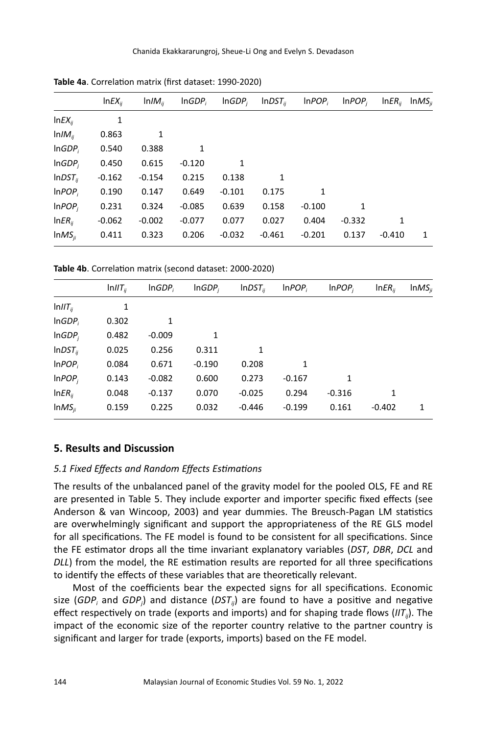|                    | $lnEX_{ii}$ | $lnIM_{ii}$ | InGDP <sub>i</sub> | InGDP <sub>i</sub> | $lnDST_{ii}$ | InPOP <sub>i</sub> | InPOP <sub>i</sub> | $InER_{ii}$ | $InMS_{ii}$ |
|--------------------|-------------|-------------|--------------------|--------------------|--------------|--------------------|--------------------|-------------|-------------|
| $lnEX_{ii}$        | 1           |             |                    |                    |              |                    |                    |             |             |
| $lnIM_{ii}$        | 0.863       | 1           |                    |                    |              |                    |                    |             |             |
| InGDP <sub>i</sub> | 0.540       | 0.388       | 1                  |                    |              |                    |                    |             |             |
| InGDP <sub>i</sub> | 0.450       | 0.615       | $-0.120$           | 1                  |              |                    |                    |             |             |
| $lnDST_{ii}$       | $-0.162$    | $-0.154$    | 0.215              | 0.138              | 1            |                    |                    |             |             |
| InPOP <sub>i</sub> | 0.190       | 0.147       | 0.649              | $-0.101$           | 0.175        | 1                  |                    |             |             |
| InPOP <sub>i</sub> | 0.231       | 0.324       | $-0.085$           | 0.639              | 0.158        | $-0.100$           | 1                  |             |             |
| $InER_{ii}$        | $-0.062$    | $-0.002$    | $-0.077$           | 0.077              | 0.027        | 0.404              | $-0.332$           | 1           |             |
| $ImMS_{ii}$        | 0.411       | 0.323       | 0.206              | $-0.032$           | $-0.461$     | $-0.201$           | 0.137              | $-0.410$    | 1           |
|                    |             |             |                    |                    |              |                    |                    |             |             |

**Table 4a**. Correlation matrix (first dataset: 1990-2020)

**Table 4b**. Correlation matrix (second dataset: 2000-2020)

|                            | ln <i>III</i> <sub>ii</sub> | InGDP <sub>i</sub> | InGDP <sub>i</sub> | $lnDST_{ii}$ | InPOP <sub>i</sub> | InPOP <sub>i</sub> | $InER_{ii}$ | $ImMS_{ii}$ |
|----------------------------|-----------------------------|--------------------|--------------------|--------------|--------------------|--------------------|-------------|-------------|
| $ln \left  T_{ii} \right $ | 1                           |                    |                    |              |                    |                    |             |             |
| InGDP <sub>i</sub>         | 0.302                       | 1                  |                    |              |                    |                    |             |             |
| InGDP <sub>i</sub>         | 0.482                       | $-0.009$           | 1                  |              |                    |                    |             |             |
| $lnDST_{ii}$               | 0.025                       | 0.256              | 0.311              | 1            |                    |                    |             |             |
| InPOP <sub>i</sub>         | 0.084                       | 0.671              | $-0.190$           | 0.208        | 1                  |                    |             |             |
| InPOP <sub>i</sub>         | 0.143                       | $-0.082$           | 0.600              | 0.273        | $-0.167$           | 1                  |             |             |
| $InER_{ij}$                | 0.048                       | $-0.137$           | 0.070              | $-0.025$     | 0.294              | $-0.316$           | 1           |             |
| $ImMS_{ii}$                | 0.159                       | 0.225              | 0.032              | $-0.446$     | $-0.199$           | 0.161              | $-0.402$    | 1           |
|                            |                             |                    |                    |              |                    |                    |             |             |

#### **5. Results and Discussion**

### *5.1 Fixed Effects and Random Effects Estimations*

The results of the unbalanced panel of the gravity model for the pooled OLS, FE and RE are presented in Table 5. They include exporter and importer specific fixed effects (see Anderson & van Wincoop, 2003) and year dummies. The Breusch-Pagan LM statistics are overwhelmingly significant and support the appropriateness of the RE GLS model for all specifications. The FE model is found to be consistent for all specifications. Since the FE estimator drops all the time invariant explanatory variables (*DST*, *DBR*, *DCL* and *DLL*) from the model, the RE estimation results are reported for all three specifications to identify the effects of these variables that are theoretically relevant.

Most of the coefficients bear the expected signs for all specifications. Economic size (*GDP<sub>i</sub>* and *GDP<sub>i</sub>*) and distance (*DST<sub>ij</sub>*) are found to have a positive and negative effect respectively on trade (exports and imports) and for shaping trade flows (*IITij*). The impact of the economic size of the reporter country relative to the partner country is significant and larger for trade (exports, imports) based on the FE model.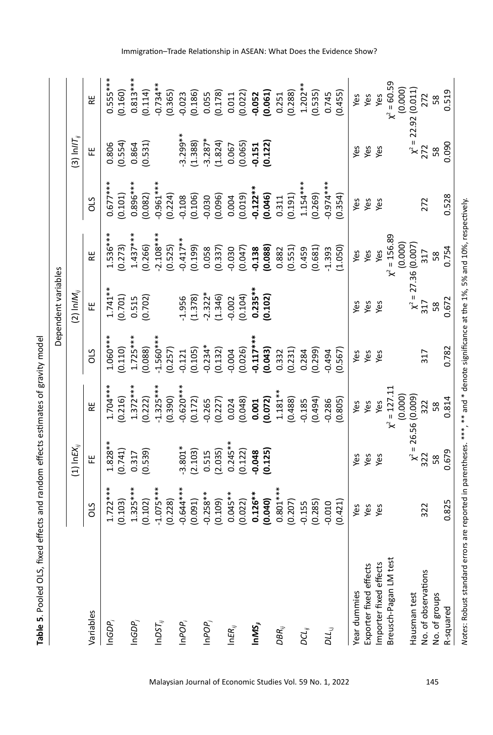Table 5. Pooled OLS, fixed effects and random effects estimates of gravity model **Table 5**. Pooled OLS, fixed effects and random effects estimates of gravity model

|                                                                                                                                   |             |                     |                          |             | Dependent variables      |                                    |             |                           |                          |
|-----------------------------------------------------------------------------------------------------------------------------------|-------------|---------------------|--------------------------|-------------|--------------------------|------------------------------------|-------------|---------------------------|--------------------------|
|                                                                                                                                   |             | $(1)$ In $E X_{ii}$ |                          |             | $(2)$ In/M <sub>ii</sub> |                                    |             | $(3)$ In/IT <sub>ii</sub> |                          |
| Variables                                                                                                                         | SIO         | 뿐                   | 뿑                        | SIO         | 뿐                        | 띭                                  | SIO         | 뿐                         | 분                        |
| $InGDP_i$                                                                                                                         | $1.722***$  | $1.828**$           | $1.704***$               | $1.060***$  | $1.741***$               | $1.536***$                         | $0.677***$  | 0.806                     | $0.555***$               |
|                                                                                                                                   | (0.103)     | (0.741)             | (0.216)                  | (0.110)     | (0.701)                  | (0.273)                            | (0.101)     | (0.554)                   | (0.160)                  |
| $InGDP_j$                                                                                                                         | $1.325***$  | 0.317               | $1.372***$               | $1.725***$  | 0.515                    | $1.437***$                         | $0.896***$  | 0.864                     | $0.813***$               |
|                                                                                                                                   | (0.102)     | (0.539)             | (0.222)                  | (0.088)     | (0.702)                  | (0.266)                            | (0.082)     | (0.531)                   | (0.114)                  |
| $InDST_{ij}$                                                                                                                      | $-1.075***$ |                     | $-1.325***$              | $-1.560***$ |                          | $-2.108***$                        | $-0.961***$ |                           | $-0.734**$               |
|                                                                                                                                   | (0.228)     |                     | (0.390)                  | (0.257)     |                          | (0.525)                            | (0.224)     |                           | (0.365)                  |
| $InPOP_i$                                                                                                                         | $0.644***$  | $-3.801*$           | $-0.620***$              | $-0.121$    | $-1.956$                 | $-0.417**$                         | $-0.108$    | $3.299***$                | $-0.023$                 |
|                                                                                                                                   | (0.091)     | (2.103)             | (0.172)                  | (0.105)     | (1.378)                  | (0.199)                            | (0.106)     | (1.388)                   | (0.186)                  |
| $InPOP_j$                                                                                                                         | $-0.258**$  | 0.515               | $-0.265$                 | $-0.234*$   | $-2.322*$                | 0.058                              | $-0.030$    | $-3.287*$                 | 0.055                    |
|                                                                                                                                   | (0.109)     | (2.035)             | (0.227)                  | (0.132)     | (1.346)                  | (0.337)                            | (0.096)     | (1.824)                   | (0.178)                  |
| $ln \mathsf{ER}_{ij}$                                                                                                             | $0.045**$   | $0.245**$           | 0.024                    | $-0.004$    | $-0.002$                 | $-0.030$                           | 0.004       | 0.067                     | 0.011                    |
|                                                                                                                                   | (0.022)     | (0.122)             | (0.048)                  | (0.026)     | (0.104)                  | (0.047)                            | (0.019)     | (0.065)                   | (0.022)                  |
| $ImMS_{ji}$                                                                                                                       | $0.126***$  | $-0.048$            | 0.001                    | $-0.117***$ | $0.235***$               | $-0.138$                           | $-0.122***$ | $-0.151$                  | $-0.052$                 |
|                                                                                                                                   | (0.040)     | (0.125)             | (0.072)                  | (0.043)     | (0.102)                  | (0.088)                            | (0.046)     | (0.122)                   | (0.061)                  |
| DBR <sub>ij</sub>                                                                                                                 | $0.801***$  |                     | $1.181***$               | 0.332       |                          | 0.882                              | 0.311       |                           | 0.251                    |
|                                                                                                                                   | (0.207)     |                     | (0.488)                  | (0.231)     |                          | (0.551)                            | (0.191)     |                           | (0.288)                  |
| $_{\sigma\alpha_{\scriptscriptstyle ij}}$                                                                                         | $-0.155$    |                     | $-0.185$                 | 0.284       |                          | 0.459                              | $1.154***$  |                           | $1.202**$                |
|                                                                                                                                   | (0.285)     |                     | (0.494)                  | (0.299)     |                          | (0.681)                            | (0.269)     |                           | (0.535)                  |
| ויך<br>מדו                                                                                                                        | 0.010       |                     | $-0.286$                 | $-0.494$    |                          | $-1.393$                           | $0.974***$  |                           | 0.745                    |
|                                                                                                                                   | (0.421)     |                     | (0.805)                  | (0.567)     |                          | (1.050)                            | (0.354)     |                           | (0.455)                  |
| Year dummies                                                                                                                      | Yes         | Yes                 | Yes                      | Yes         | Yes                      | Yes                                | Yes         | yes                       | Yes                      |
| Exporter fixed effects                                                                                                            | Yes         | Yes                 | Yes                      | Yes         | Yes                      | Yes                                | Yes         | Yes                       | Yes                      |
| Importer fixed effects                                                                                                            | Yes         | Yes                 | Yes                      | Yes         | Yes                      | Yes                                | Yes         | Yes                       | Yes                      |
| Breusch-Pagan LM test                                                                                                             |             |                     | $= 127.11$<br>℀          |             |                          | $= 156.89$<br>$\tilde{\mathbf{x}}$ |             |                           | $= 60.59$<br>⊁           |
|                                                                                                                                   |             |                     | (0.000)                  |             |                          | (0.000)                            |             |                           | (0.000)                  |
| Hausman test                                                                                                                      |             |                     | $\chi^2$ = 26.56 (0.009) |             |                          | $\chi^2 = 27.36(0.007)$            |             |                           | $\chi^2 = 22.92 (0.011)$ |
| No. of observations                                                                                                               | 322         | 322                 | 322                      | 317         | 317                      | 317                                | 272         | 272                       | 272                      |
| No. of groups                                                                                                                     |             | 58                  | 58                       |             | 58                       | 58                                 |             | 58                        | 58                       |
| R-squared                                                                                                                         | 0.825       | 0.679               | 0.814                    | 0.782       | 0.672                    | 0.754                              | 0.528       | 0.090                     | 0.519                    |
| Notes: Robust standard errors are reported in parentheses. ***, ** and * denote significance at the 1%, 5% and 10%, respectively. |             |                     |                          |             |                          |                                    |             |                           |                          |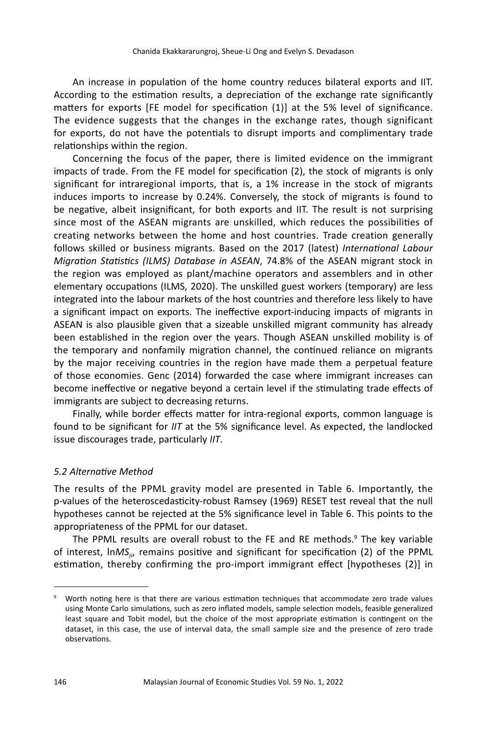An increase in population of the home country reduces bilateral exports and IIT. According to the estimation results, a depreciation of the exchange rate significantly matters for exports [FE model for specification (1)] at the 5% level of significance. The evidence suggests that the changes in the exchange rates, though significant for exports, do not have the potentials to disrupt imports and complimentary trade relationships within the region.

Concerning the focus of the paper, there is limited evidence on the immigrant impacts of trade. From the FE model for specification (2), the stock of migrants is only significant for intraregional imports, that is, a 1% increase in the stock of migrants induces imports to increase by 0.24%. Conversely, the stock of migrants is found to be negative, albeit insignificant, for both exports and IIT. The result is not surprising since most of the ASEAN migrants are unskilled, which reduces the possibilities of creating networks between the home and host countries. Trade creation generally follows skilled or business migrants. Based on the 2017 (latest) *International Labour Migration Statistics (ILMS) Database in ASEAN*, 74.8% of the ASEAN migrant stock in the region was employed as plant/machine operators and assemblers and in other elementary occupations (ILMS, 2020). The unskilled guest workers (temporary) are less integrated into the labour markets of the host countries and therefore less likely to have a significant impact on exports. The ineffective export-inducing impacts of migrants in ASEAN is also plausible given that a sizeable unskilled migrant community has already been established in the region over the years. Though ASEAN unskilled mobility is of the temporary and nonfamily migration channel, the continued reliance on migrants by the major receiving countries in the region have made them a perpetual feature of those economies. Genc (2014) forwarded the case where immigrant increases can become ineffective or negative beyond a certain level if the stimulating trade effects of immigrants are subject to decreasing returns.

Finally, while border effects matter for intra-regional exports, common language is found to be significant for *IIT* at the 5% significance level. As expected, the landlocked issue discourages trade, particularly *IIT*.

## *5.2 Alternative Method*

The results of the PPML gravity model are presented in Table 6. Importantly, the p-values of the heteroscedasticity-robust Ramsey (1969) RESET test reveal that the null hypotheses cannot be rejected at the 5% significance level in Table 6. This points to the appropriateness of the PPML for our dataset.

The PPML results are overall robust to the FE and RE methods.<sup>9</sup> The key variable of interest, ln*MSji*, remains positive and significant for specification (2) of the PPML estimation, thereby confirming the pro-import immigrant effect [hypotheses (2)] in

<sup>9</sup> Worth noting here is that there are various estimation techniques that accommodate zero trade values using Monte Carlo simulations, such as zero inflated models, sample selection models, feasible generalized least square and Tobit model, but the choice of the most appropriate estimation is contingent on the dataset, in this case, the use of interval data, the small sample size and the presence of zero trade observations.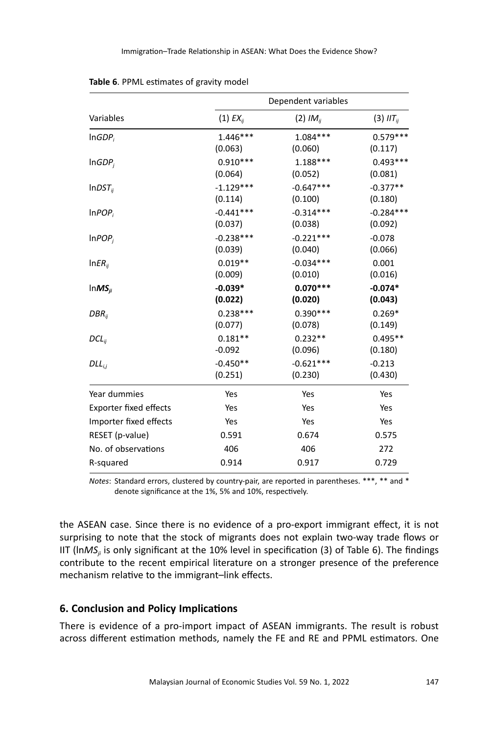|                               | Dependent variables |                      |                  |  |  |  |
|-------------------------------|---------------------|----------------------|------------------|--|--|--|
| Variables                     | $(1)$ $EX_{ij}$     | (2) IM <sub>ij</sub> | $(3)$ $III_{ij}$ |  |  |  |
| InGDP <sub>i</sub>            | $1.446***$          | $1.084***$           | $0.579***$       |  |  |  |
|                               | (0.063)             | (0.060)              | (0.117)          |  |  |  |
| InGDP <sub>i</sub>            | $0.910***$          | $1.188***$           | $0.493***$       |  |  |  |
|                               | (0.064)             | (0.052)              | (0.081)          |  |  |  |
| $lnDST_{ii}$                  | $-1.129***$         | $-0.647***$          | $-0.377**$       |  |  |  |
|                               | (0.114)             | (0.100)              | (0.180)          |  |  |  |
| InPOP <sub>i</sub>            | $-0.441***$         | $-0.314***$          | $-0.284***$      |  |  |  |
|                               | (0.037)             | (0.038)              | (0.092)          |  |  |  |
| InPOP <sub>i</sub>            | $-0.238***$         | $-0.221***$          | $-0.078$         |  |  |  |
|                               | (0.039)             | (0.040)              | (0.066)          |  |  |  |
| $InER_{ii}$                   | $0.019**$           | $-0.034***$          | 0.001            |  |  |  |
|                               | (0.009)             | (0.010)              | (0.016)          |  |  |  |
| $lnMS_{ii}$                   | $-0.039*$           | $0.070***$           | $-0.074*$        |  |  |  |
|                               | (0.022)             | (0.020)              | (0.043)          |  |  |  |
| $DBR_{ii}$                    | $0.238***$          | $0.390***$           | $0.269*$         |  |  |  |
|                               | (0.077)             | (0.078)              | (0.149)          |  |  |  |
| $DCL_{ij}$                    | $0.181**$           | $0.232**$            | $0.495**$        |  |  |  |
|                               | $-0.092$            | (0.096)              | (0.180)          |  |  |  |
| $DLL_{i,j}$                   | $-0.450**$          | $-0.621***$          | $-0.213$         |  |  |  |
|                               | (0.251)             | (0.230)              | (0.430)          |  |  |  |
| Year dummies                  | Yes                 | Yes                  | Yes              |  |  |  |
| <b>Exporter fixed effects</b> | Yes                 | Yes                  | Yes              |  |  |  |
| Importer fixed effects        | Yes                 | Yes                  | Yes              |  |  |  |
| RESET (p-value)               | 0.591               | 0.674                | 0.575            |  |  |  |
| No. of observations           | 406                 | 406                  | 272              |  |  |  |
| R-squared                     | 0.914               | 0.917                | 0.729            |  |  |  |

**Table 6**. PPML estimates of gravity model

*Notes*: Standard errors, clustered by country-pair, are reported in parentheses. \*\*\*, \*\* and \* denote significance at the 1%, 5% and 10%, respectively.

the ASEAN case. Since there is no evidence of a pro-export immigrant effect, it is not surprising to note that the stock of migrants does not explain two-way trade flows or IIT (ln*MSji* is only significant at the 10% level in specification (3) of Table 6). The findings contribute to the recent empirical literature on a stronger presence of the preference mechanism relative to the immigrant–link effects.

# **6. Conclusion and Policy Implications**

There is evidence of a pro-import impact of ASEAN immigrants. The result is robust across different estimation methods, namely the FE and RE and PPML estimators. One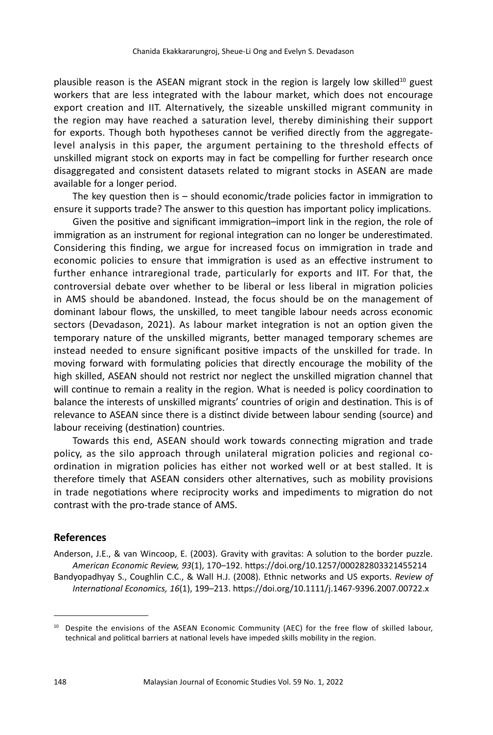plausible reason is the ASEAN migrant stock in the region is largely low skilled<sup>10</sup> guest workers that are less integrated with the labour market, which does not encourage export creation and IIT. Alternatively, the sizeable unskilled migrant community in the region may have reached a saturation level, thereby diminishing their support for exports. Though both hypotheses cannot be verified directly from the aggregatelevel analysis in this paper, the argument pertaining to the threshold effects of unskilled migrant stock on exports may in fact be compelling for further research once disaggregated and consistent datasets related to migrant stocks in ASEAN are made available for a longer period.

The key question then is – should economic/trade policies factor in immigration to ensure it supports trade? The answer to this question has important policy implications.

Given the positive and significant immigration–import link in the region, the role of immigration as an instrument for regional integration can no longer be underestimated. Considering this finding, we argue for increased focus on immigration in trade and economic policies to ensure that immigration is used as an effective instrument to further enhance intraregional trade, particularly for exports and IIT. For that, the controversial debate over whether to be liberal or less liberal in migration policies in AMS should be abandoned. Instead, the focus should be on the management of dominant labour flows, the unskilled, to meet tangible labour needs across economic sectors (Devadason, 2021). As labour market integration is not an option given the temporary nature of the unskilled migrants, better managed temporary schemes are instead needed to ensure significant positive impacts of the unskilled for trade. In moving forward with formulating policies that directly encourage the mobility of the high skilled, ASEAN should not restrict nor neglect the unskilled migration channel that will continue to remain a reality in the region. What is needed is policy coordination to balance the interests of unskilled migrants' countries of origin and destination. This is of relevance to ASEAN since there is a distinct divide between labour sending (source) and labour receiving (destination) countries.

Towards this end, ASEAN should work towards connecting migration and trade policy, as the silo approach through unilateral migration policies and regional coordination in migration policies has either not worked well or at best stalled. It is therefore timely that ASEAN considers other alternatives, such as mobility provisions in trade negotiations where reciprocity works and impediments to migration do not contrast with the pro-trade stance of AMS.

# **References**

Anderson, J.E., & van Wincoop, E. (2003). Gravity with gravitas: A solution to the border puzzle. *American Economic Review, 93*(1), 170–192. https://doi.org/10.1257/000282803321455214 Bandyopadhyay S., Coughlin C.C., & Wall H.J. (2008). Ethnic networks and US exports. *Review of International Economics, 16*(1), 199–213. https://doi.org/10.1111/j.1467-9396.2007.00722.x

<sup>&</sup>lt;sup>10</sup> Despite the envisions of the ASEAN Economic Community (AEC) for the free flow of skilled labour, technical and political barriers at national levels have impeded skills mobility in the region.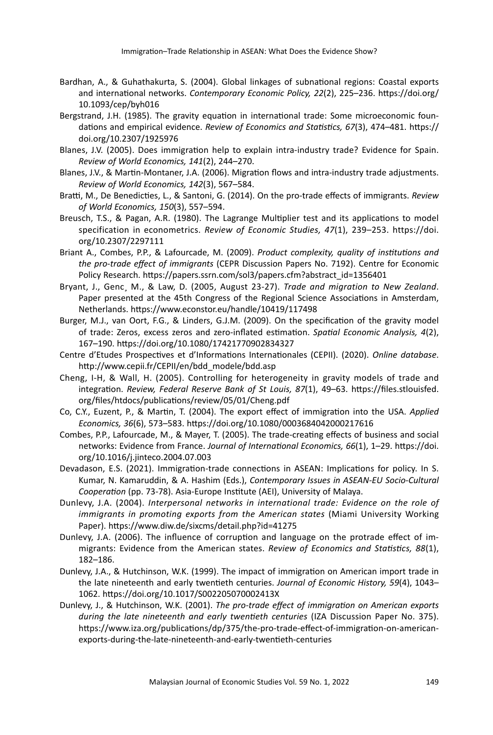- Bardhan, A., & Guhathakurta, S. (2004). Global linkages of subnational regions: Coastal exports and international networks. *Contemporary Economic Policy, 22*(2), 225–236. https://doi.org/ 10.1093/cep/byh016
- Bergstrand, J.H. (1985). The gravity equation in international trade: Some microeconomic foundations and empirical evidence. *Review of Economics and Statistics, 67*(3), 474–481. https:// doi.org/10.2307/1925976
- Blanes, J.V. (2005). Does immigration help to explain intra-industry trade? Evidence for Spain. *Review of World Economics, 141*(2), 244–270.
- Blanes, J.V., & Martin-Montaner, J.A. (2006). Migration flows and intra-industry trade adjustments. *Review of World Economics, 142*(3), 567–584.
- Bratti, M., De Benedicties, L., & Santoni, G. (2014). On the pro-trade effects of immigrants. *Review of World Economics, 150*(3), 557–594.
- Breusch, T.S., & Pagan, A.R. (1980). The Lagrange Multiplier test and its applications to model specification in econometrics. *Review of Economic Studies, 47*(1), 239–253. https://doi. org/10.2307/2297111
- Briant A., Combes, P.P., & Lafourcade, M. (2009). *Product complexity, quality of institutions and the pro-trade effect of immigrants* (CEPR Discussion Papers No. 7192). Centre for Economic Policy Research. https://papers.ssrn.com/sol3/papers.cfm?abstract\_id=1356401
- Bryant, J., Genc¸ M., & Law, D. (2005, August 23-27). *Trade and migration to New Zealand*. Paper presented at the 45th Congress of the Regional Science Associations in Amsterdam, Netherlands. https://www.econstor.eu/handle/10419/117498
- Burger, M.J., van Oort, F.G., & Linders, G.J.M. (2009). On the specification of the gravity model of trade: Zeros, excess zeros and zero-inflated estimation. *Spatial Economic Analysis, 4*(2), 167–190. https://doi.org/10.1080/17421770902834327
- Centre d'Etudes Prospectives et d'Informations Internationales (CEPII). (2020). *Online database*. http://www.cepii.fr/CEPII/en/bdd\_modele/bdd.asp
- Cheng, I-H, & Wall, H. (2005). Controlling for heterogeneity in gravity models of trade and integration. *Review, Federal Reserve Bank of St Louis, 87*(1), 49–63. https://files.stlouisfed. org/files/htdocs/publications/review/05/01/Cheng.pdf
- Co, C.Y., Euzent, P., & Martin, T. (2004). The export effect of immigration into the USA. *Applied Economics, 36*(6), 573–583. https://doi.org/10.1080/0003684042000217616
- Combes, P.P., Lafourcade, M., & Mayer, T. (2005). The trade-creating effects of business and social networks: Evidence from France. *Journal of International Economics, 66*(1), 1–29. https://doi. org/10.1016/j.jinteco.2004.07.003
- Devadason, E.S. (2021). Immigration-trade connections in ASEAN: Implications for policy. In S. Kumar, N. Kamaruddin, & A. Hashim (Eds.), *Contemporary Issues in ASEAN-EU Socio-Cultural Cooperation* (pp. 73-78). Asia-Europe Institute (AEI), University of Malaya.
- Dunlevy, J.A. (2004). *Interpersonal networks in international trade: Evidence on the role of immigrants in promoting exports from the American states* (Miami University Working Paper). https://www.diw.de/sixcms/detail.php?id=41275
- Dunlevy, J.A. (2006). The influence of corruption and language on the protrade effect of immigrants: Evidence from the American states. *Review of Economics and Statistics, 88*(1), 182–186.
- Dunlevy, J.A., & Hutchinson, W.K. (1999). The impact of immigration on American import trade in the late nineteenth and early twentieth centuries. *Journal of Economic History, 59*(4), 1043– 1062. https://doi.org/10.1017/S002205070002413X
- Dunlevy, J., & Hutchinson, W.K. (2001). *The pro-trade effect of immigration on American exports during the late nineteenth and early twentieth centuries* (IZA Discussion Paper No. 375). https://www.iza.org/publications/dp/375/the-pro-trade-effect-of-immigration-on-americanexports-during-the-late-nineteenth-and-early-twentieth-centuries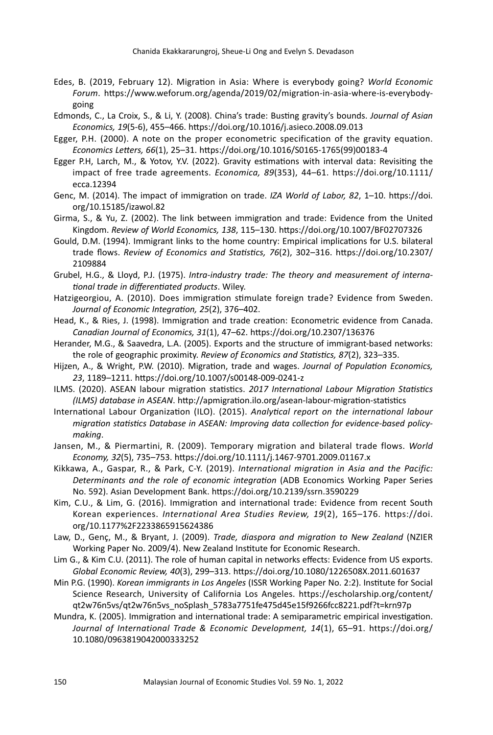- Edes, B. (2019, February 12). Migration in Asia: Where is everybody going? *World Economic Forum*. https://www.weforum.org/agenda/2019/02/migration-in-asia-where-is-everybodygoing
- Edmonds, C., La Croix, S., & Li, Y. (2008). China's trade: Busting gravity's bounds. *Journal of Asian Economics, 19*(5-6), 455–466. https://doi.org/10.1016/j.asieco.2008.09.013
- Egger, P.H. (2000). A note on the proper econometric specification of the gravity equation. *Economics Letters, 66*(1), 25–31. https://doi.org/10.1016/S0165-1765(99)00183-4
- Egger P.H, Larch, M., & Yotov, Y.V. (2022). Gravity estimations with interval data: Revisiting the impact of free trade agreements. *Economica, 89*(353), 44–61. https://doi.org/10.1111/ ecca.12394
- Genc, M. (2014). The impact of immigration on trade. *IZA World of Labor, 82*, 1–10. https://doi. org/10.15185/izawol.82
- Girma, S., & Yu, Z. (2002). The link between immigration and trade: Evidence from the United Kingdom. *Review of World Economics, 138*, 115–130. https://doi.org/10.1007/BF02707326
- Gould, D.M. (1994). Immigrant links to the home country: Empirical implications for U.S. bilateral trade flows. *Review of Economics and Statistics, 76*(2), 302–316. https://doi.org/10.2307/ 2109884
- Grubel, H.G., & Lloyd, P.J. (1975). *Intra-industry trade: The theory and measurement of international trade in differentiated products*. Wiley.
- Hatzigeorgiou, A. (2010). Does immigration stimulate foreign trade? Evidence from Sweden. *Journal of Economic Integration, 25*(2), 376–402.
- Head, K., & Ries, J. (1998). Immigration and trade creation: Econometric evidence from Canada. *Canadian Journal of Economics, 31*(1), 47–62. https://doi.org/10.2307/136376
- Herander, M.G., & Saavedra, L.A. (2005). Exports and the structure of immigrant-based networks: the role of geographic proximity. *Review of Economics and Statistics, 87*(2), 323–335.
- Hijzen, A., & Wright, P.W. (2010). Migration, trade and wages. *Journal of Population Economics, 23*, 1189–1211. https://doi.org/10.1007/s00148-009-0241-z
- ILMS. (2020). ASEAN labour migration statistics. *2017 International Labour Migration Statistics (ILMS) database in ASEAN*. http://apmigration.ilo.org/asean-labour-migration-statistics
- International Labour Organization (ILO). (2015). *Analytical report on the international labour migration statistics Database in ASEAN: Improving data collection for evidence-based policymaking*.
- Jansen, M., & Piermartini, R. (2009). Temporary migration and bilateral trade flows. *World Economy, 32*(5), 735–753. https://doi.org/10.1111/j.1467-9701.2009.01167.x
- Kikkawa, A., Gaspar, R., & Park, C-Y. (2019). *International migration in Asia and the Pacific: Determinants and the role of economic integration* (ADB Economics Working Paper Series No. 592). Asian Development Bank. https://doi.org/10.2139/ssrn.3590229
- Kim, C.U., & Lim, G. (2016). Immigration and international trade: Evidence from recent South Korean experiences. *International Area Studies Review, 19*(2), 165–176. https://doi. org/10.1177%2F2233865915624386
- Law, D., Genç, M., & Bryant, J. (2009). *Trade, diaspora and migration to New Zealand* (NZIER Working Paper No. 2009/4). New Zealand Institute for Economic Research.
- Lim G., & Kim C.U. (2011). The role of human capital in networks effects: Evidence from US exports. *Global Economic Review, 40*(3), 299–313. https://doi.org/10.1080/1226508X.2011.601637
- Min P.G. (1990). *Korean immigrants in Los Angeles* (ISSR Working Paper No. 2:2). Institute for Social Science Research, University of California Los Angeles. https://escholarship.org/content/ qt2w76n5vs/qt2w76n5vs\_noSplash\_5783a7751fe475d45e15f9266fcc8221.pdf?t=krn97p
- Mundra, K. (2005). Immigration and international trade: A semiparametric empirical investigation. *Journal of International Trade & Economic Development, 14*(1), 65–91. https://doi.org/ 10.1080/0963819042000333252